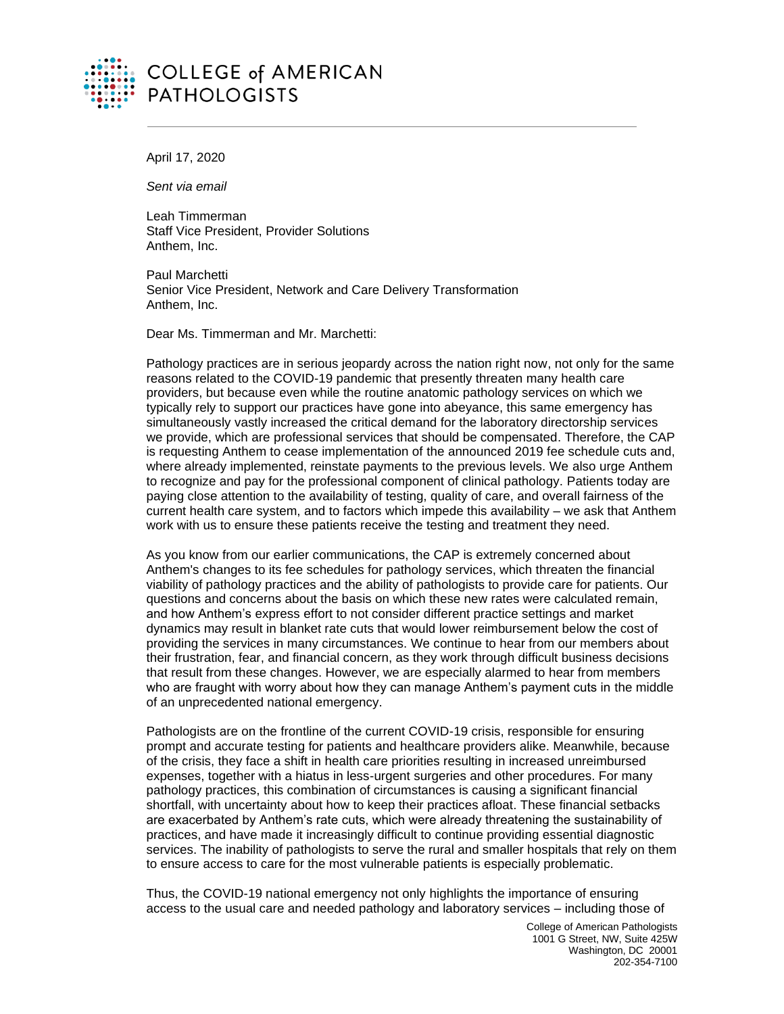

## **COLLEGE of AMERICAN PATHOLOGISTS**

April 17, 2020

*Sent via email*

Leah Timmerman Staff Vice President, Provider Solutions Anthem, Inc.

Paul Marchetti Senior Vice President, Network and Care Delivery Transformation Anthem, Inc.

Dear Ms. Timmerman and Mr. Marchetti:

Pathology practices are in serious jeopardy across the nation right now, not only for the same reasons related to the COVID-19 pandemic that presently threaten many health care providers, but because even while the routine anatomic pathology services on which we typically rely to support our practices have gone into abeyance, this same emergency has simultaneously vastly increased the critical demand for the laboratory directorship services we provide, which are professional services that should be compensated. Therefore, the CAP is requesting Anthem to cease implementation of the announced 2019 fee schedule cuts and, where already implemented, reinstate payments to the previous levels. We also urge Anthem to recognize and pay for the professional component of clinical pathology. Patients today are paying close attention to the availability of testing, quality of care, and overall fairness of the current health care system, and to factors which impede this availability – we ask that Anthem work with us to ensure these patients receive the testing and treatment they need.

As you know from our earlier communications, the CAP is extremely concerned about Anthem's changes to its fee schedules for pathology services, which threaten the financial viability of pathology practices and the ability of pathologists to provide care for patients. Our questions and concerns about the basis on which these new rates were calculated remain, and how Anthem's express effort to not consider different practice settings and market dynamics may result in blanket rate cuts that would lower reimbursement below the cost of providing the services in many circumstances. We continue to hear from our members about their frustration, fear, and financial concern, as they work through difficult business decisions that result from these changes. However, we are especially alarmed to hear from members who are fraught with worry about how they can manage Anthem's payment cuts in the middle of an unprecedented national emergency.

Pathologists are on the frontline of the current COVID-19 crisis, responsible for ensuring prompt and accurate testing for patients and healthcare providers alike. Meanwhile, because of the crisis, they face a shift in health care priorities resulting in increased unreimbursed expenses, together with a hiatus in less-urgent surgeries and other procedures. For many pathology practices, this combination of circumstances is causing a significant financial shortfall, with uncertainty about how to keep their practices afloat. These financial setbacks are exacerbated by Anthem's rate cuts, which were already threatening the sustainability of practices, and have made it increasingly difficult to continue providing essential diagnostic services. The inability of pathologists to serve the rural and smaller hospitals that rely on them to ensure access to care for the most vulnerable patients is especially problematic.

Thus, the COVID-19 national emergency not only highlights the importance of ensuring access to the usual care and needed pathology and laboratory services – including those of